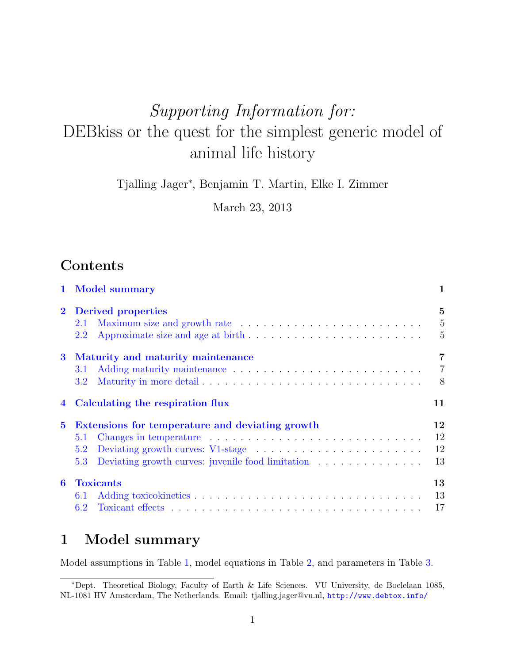# Supporting Information for: DEBkiss or the quest for the simplest generic model of animal life history

Tjalling Jager<sup>∗</sup> , Benjamin T. Martin, Elke I. Zimmer

March 23, 2013

## **Contents**

| $\mathbf{1}$   | <b>Model summary</b>                                                 | 1                                                  |
|----------------|----------------------------------------------------------------------|----------------------------------------------------|
| $\bf{2}$       | Derived properties<br>2.1<br>2.2                                     | $\overline{5}$<br>$\overline{5}$<br>$\overline{5}$ |
| $\bf{3}$       | Maturity and maturity maintenance<br>3.1<br>$3.2^{\circ}$            | $\overline{7}$<br>$\overline{7}$<br>8              |
| $\overline{4}$ | Calculating the respiration flux                                     | 11                                                 |
| $\bf{5}$       | Extensions for temperature and deviating growth<br>5.1<br>5.2<br>5.3 | 12<br>12<br>12<br>13                               |
| 6              | <b>Toxicants</b><br>6.1<br>6.2                                       | 13<br>13<br>17                                     |

### <span id="page-0-0"></span>1 Model summary

Model assumptions in Table [1,](#page-1-0) model equations in Table [2,](#page-2-0) and parameters in Table [3.](#page-3-0)

<sup>∗</sup>Dept. Theoretical Biology, Faculty of Earth & Life Sciences. VU University, de Boelelaan 1085, NL-1081 HV Amsterdam, The Netherlands. Email: tjalling.jager@vu.nl, <http://www.debtox.info/>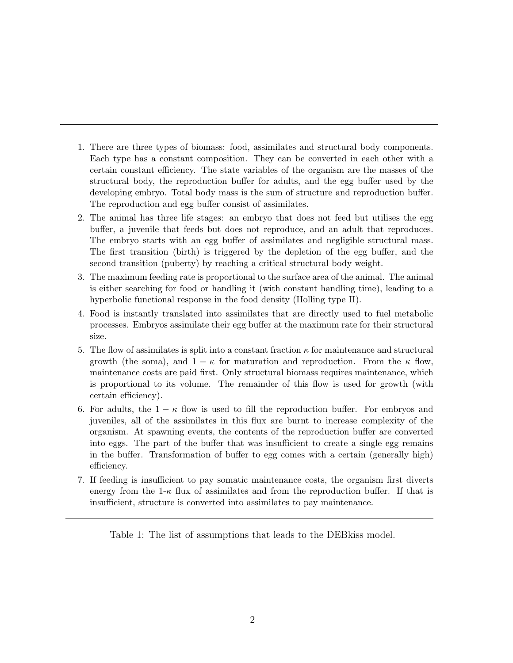- 1. There are three types of biomass: food, assimilates and structural body components. Each type has a constant composition. They can be converted in each other with a certain constant efficiency. The state variables of the organism are the masses of the structural body, the reproduction buffer for adults, and the egg buffer used by the developing embryo. Total body mass is the sum of structure and reproduction buffer. The reproduction and egg buffer consist of assimilates.
- 2. The animal has three life stages: an embryo that does not feed but utilises the egg buffer, a juvenile that feeds but does not reproduce, and an adult that reproduces. The embryo starts with an egg buffer of assimilates and negligible structural mass. The first transition (birth) is triggered by the depletion of the egg buffer, and the second transition (puberty) by reaching a critical structural body weight.
- 3. The maximum feeding rate is proportional to the surface area of the animal. The animal is either searching for food or handling it (with constant handling time), leading to a hyperbolic functional response in the food density (Holling type II).
- 4. Food is instantly translated into assimilates that are directly used to fuel metabolic processes. Embryos assimilate their egg buffer at the maximum rate for their structural size.
- 5. The flow of assimilates is split into a constant fraction  $\kappa$  for maintenance and structural growth (the soma), and  $1 - \kappa$  for maturation and reproduction. From the  $\kappa$  flow, maintenance costs are paid first. Only structural biomass requires maintenance, which is proportional to its volume. The remainder of this flow is used for growth (with certain efficiency).
- 6. For adults, the  $1 \kappa$  flow is used to fill the reproduction buffer. For embryos and juveniles, all of the assimilates in this flux are burnt to increase complexity of the organism. At spawning events, the contents of the reproduction buffer are converted into eggs. The part of the buffer that was insufficient to create a single egg remains in the buffer. Transformation of buffer to egg comes with a certain (generally high) efficiency.
- 7. If feeding is insufficient to pay somatic maintenance costs, the organism first diverts energy from the  $1-\kappa$  flux of assimilates and from the reproduction buffer. If that is insufficient, structure is converted into assimilates to pay maintenance.

<span id="page-1-0"></span>Table 1: The list of assumptions that leads to the DEBkiss model.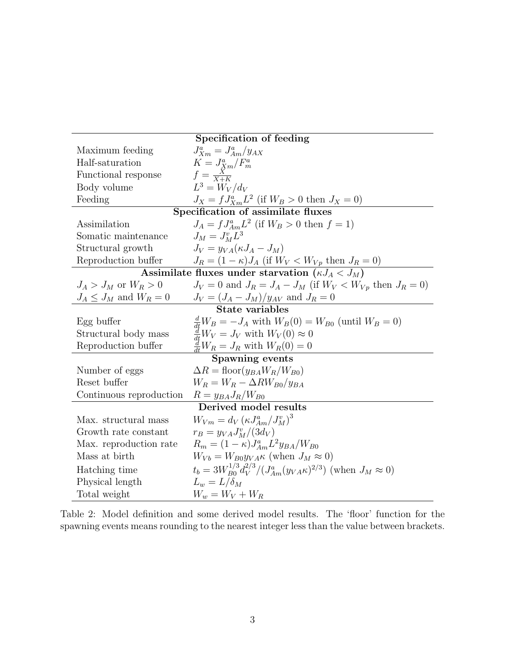| Specification of feeding                                           |                                                                                       |  |  |  |  |
|--------------------------------------------------------------------|---------------------------------------------------------------------------------------|--|--|--|--|
| Maximum feeding                                                    | $J_{Xm}^a = J_{Am}^a/y_{AX}$                                                          |  |  |  |  |
| Half-saturation                                                    | $K = J_{Xm}^a/F_m^a$                                                                  |  |  |  |  |
| Functional response                                                | $f=\frac{X}{X+K}$                                                                     |  |  |  |  |
| Body volume                                                        | $L^3 = W_V/d_V$                                                                       |  |  |  |  |
| $J_X = f J_{Xm}^a L^2$ (if $W_B > 0$ then $J_X = 0$ )<br>Feeding   |                                                                                       |  |  |  |  |
|                                                                    | Specification of assimilate fluxes                                                    |  |  |  |  |
| Assimilation                                                       | $J_A = f J_{Am}^a L^2$ (if $W_B > 0$ then $f = 1$ )                                   |  |  |  |  |
| Somatic maintenance                                                | $J_M = J_M^v L^3$                                                                     |  |  |  |  |
| Structural growth                                                  | $J_V = \eta_{VA} (\kappa J_A - J_M)$                                                  |  |  |  |  |
| Reproduction buffer                                                | $J_R = (1 - \kappa) J_A$ (if $W_V < W_{Vp}$ then $J_R = 0$ )                          |  |  |  |  |
| Assimilate fluxes under starvation $\overline{(\kappa J_A < J_M)}$ |                                                                                       |  |  |  |  |
| $J_A > J_M$ or $W_R > 0$                                           | $J_V = 0$ and $J_R = J_A - J_M$ (if $W_V < W_{V_p}$ then $J_R = 0$ )                  |  |  |  |  |
| $J_A \leq J_M$ and $W_R = 0$                                       | $J_V = (J_A - J_M)/y_{AV}$ and $J_R = 0$                                              |  |  |  |  |
|                                                                    | State variables                                                                       |  |  |  |  |
| Egg buffer                                                         | $\frac{d}{dt}W_B = -J_A$ with $W_B(0) = W_{B0}$ (until $W_B = 0$ )                    |  |  |  |  |
| Structural body mass                                               | $\frac{d}{dt}W_V = J_V$ with $W_V(0) \approx 0$                                       |  |  |  |  |
| Reproduction buffer                                                | $\frac{d}{dt}W_R = J_R$ with $W_R(0) = 0$                                             |  |  |  |  |
|                                                                    | Spawning events                                                                       |  |  |  |  |
| Number of eggs                                                     | $\Delta R = \text{floor}(y_{BA}W_R/W_{B0})$                                           |  |  |  |  |
| Reset buffer                                                       | $W_B = W_B - \Delta R W_{B0}/y_{BA}$                                                  |  |  |  |  |
| Continuous reproduction                                            | $R = y_{BA} J_R / W_{B0}$                                                             |  |  |  |  |
|                                                                    | Derived model results                                                                 |  |  |  |  |
| Max. structural mass                                               | $W_{Vm} = d_V \left( \frac{\kappa J_{Am}^a}{J_M^v} \right)^3$                         |  |  |  |  |
| Growth rate constant                                               | $r_B = y_{VA} J_M^v / (3d_V)$                                                         |  |  |  |  |
| Max. reproduction rate                                             | $R_m = (1 - \kappa) J_{Am}^a L^2 y_{BA} / W_{B0}$                                     |  |  |  |  |
| Mass at birth                                                      | $W_{Vb} = W_{B0}y_{VA}\kappa$ (when $J_M \approx 0$ )                                 |  |  |  |  |
| Hatching time                                                      | $t_b = 3W_{B0}^{1/3}d_V^{2/3}/(J_{Am}^a(y_{VA}\kappa)^{2/3})$ (when $J_M \approx 0$ ) |  |  |  |  |
| Physical length                                                    | $L_w = L/\delta_M$                                                                    |  |  |  |  |
| Total weight                                                       | $W_w = W_V + W_R$                                                                     |  |  |  |  |

<span id="page-2-0"></span>Table 2: Model definition and some derived model results. The 'floor' function for the spawning events means rounding to the nearest integer less than the value between brackets.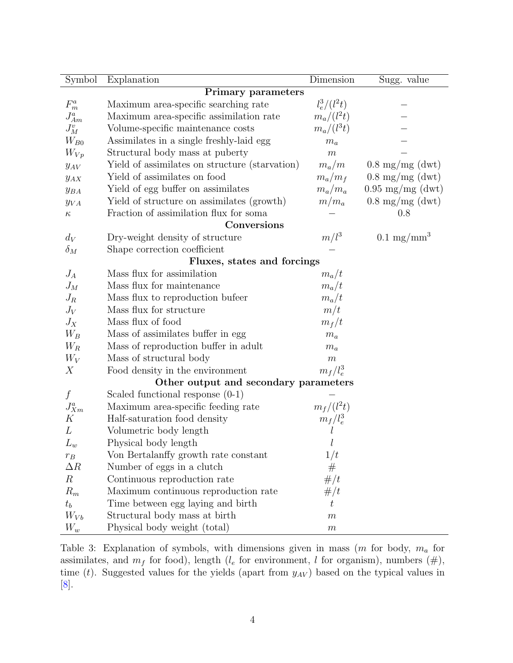| Symbol             | Explanation                                    | Dimension        | Sugg. value                |  |  |  |
|--------------------|------------------------------------------------|------------------|----------------------------|--|--|--|
| Primary parameters |                                                |                  |                            |  |  |  |
| $\mathcal{F}^a_m$  | Maximum area-specific searching rate           | $l_e^3/(l^2t)$   |                            |  |  |  |
| $J_{Am}^a$         | Maximum area-specific assimilation rate        | $m_a/(l^2t)$     |                            |  |  |  |
| $J_M^v$            | Volume-specific maintenance costs              | $m_a/(l^3t)$     |                            |  |  |  |
| $W_{B0}$           | Assimilates in a single freshly-laid egg       | $m_a$            |                            |  |  |  |
| $W_{Vp}$           | Structural body mass at puberty                | $\,m$            |                            |  |  |  |
| $y_{AV}$           | Yield of assimilates on structure (starvation) | $m_a/m$          | $0.8 \text{ mg/mg}$ (dwt)  |  |  |  |
| $y_{AX}$           | Yield of assimilates on food                   | $m_a/m_f$        | $0.8 \text{ mg/mg}$ (dwt)  |  |  |  |
| $y_{BA}$           | Yield of egg buffer on assimilates             | $m_a/m_a$        | $0.95 \text{ mg/mg}$ (dwt) |  |  |  |
| $y_{VA}$           | Yield of structure on assimilates (growth)     | $m/m_a$          | $0.8 \text{ mg/mg (dwt)}$  |  |  |  |
| $\kappa$           | Fraction of assimilation flux for soma         |                  | 0.8                        |  |  |  |
|                    | Conversions                                    |                  |                            |  |  |  |
| $d_V$              | Dry-weight density of structure                | $m/l^3$          | $0.1 \text{ mg/mm}^3$      |  |  |  |
| $\delta_M$         | Shape correction coefficient                   |                  |                            |  |  |  |
|                    | Fluxes, states and forcings                    |                  |                            |  |  |  |
| $J_A$              | Mass flux for assimilation                     | $m_a/t$          |                            |  |  |  |
| $J_M$              | Mass flux for maintenance                      | $m_a/t$          |                            |  |  |  |
| $J_R$              | Mass flux to reproduction bufeer               | $m_a/t$          |                            |  |  |  |
| $J_V$              | Mass flux for structure                        | m/t              |                            |  |  |  |
| ${\cal J}_X$       | Mass flux of food                              | $m_f/t$          |                            |  |  |  |
| $W_B$              | Mass of assimilates buffer in egg              | $m_a$            |                            |  |  |  |
| $W_R$              | Mass of reproduction buffer in adult           | $m_a$            |                            |  |  |  |
| $W_V$              | Mass of structural body                        | $\boldsymbol{m}$ |                            |  |  |  |
| X                  | Food density in the environment                | $m_f/l_e^3$      |                            |  |  |  |
|                    | Other output and secondary parameters          |                  |                            |  |  |  |
| f                  | Scaled functional response $(0-1)$             |                  |                            |  |  |  |
| $J^a_{Xm}$         | Maximum area-specific feeding rate             | $m_f/(l^2t)$     |                            |  |  |  |
| K                  | Half-saturation food density                   | $m_f/l_e^3$      |                            |  |  |  |
| L                  | Volumetric body length                         |                  |                            |  |  |  |
| $L_w$              | Physical body length                           |                  |                            |  |  |  |
| $r_B$              | Von Bertalanffy growth rate constant           | 1/t              |                            |  |  |  |
| $\Delta R$         | Number of eggs in a clutch                     | #                |                            |  |  |  |
| $\boldsymbol{R}$   | Continuous reproduction rate                   | #/t              |                            |  |  |  |
| $R_m$              | Maximum continuous reproduction rate           | #/t              |                            |  |  |  |
| $t_b$              | Time between egg laying and birth              | $t\,$            |                            |  |  |  |
| $W_{Vb}$           | Structural body mass at birth                  | $\boldsymbol{m}$ |                            |  |  |  |
| $W_w$              | Physical body weight (total)                   | $\,m$            |                            |  |  |  |

<span id="page-3-0"></span>Table 3: Explanation of symbols, with dimensions given in mass  $(m \text{ for body}, m_a \text{ for } )$ assimilates, and  $m_f$  for food), length ( $l_e$  for environment, l for organism), numbers ( $\#$ ), time (t). Suggested values for the yields (apart from  $y_{AV}$ ) based on the typical values in [\[8\]](#page-17-0).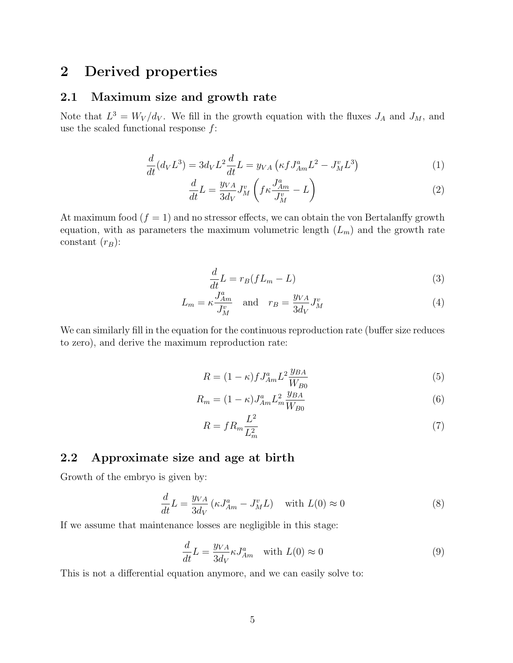### <span id="page-4-0"></span>2 Derived properties

### <span id="page-4-1"></span>2.1 Maximum size and growth rate

Note that  $L^3 = W_V/d_V$ . We fill in the growth equation with the fluxes  $J_A$  and  $J_M$ , and use the scaled functional response  $f$ :

$$
\frac{d}{dt}(d_V L^3) = 3d_V L^2 \frac{d}{dt} L = y_{VA} \left( \kappa f J_{Am}^a L^2 - J_M^v L^3 \right)
$$
\n(1)

$$
\frac{d}{dt}L = \frac{y_{VA}}{3d_V}J_M^v \left(f\kappa \frac{J_{Am}^a}{J_M^v} - L\right) \tag{2}
$$

At maximum food  $(f = 1)$  and no stressor effects, we can obtain the von Bertalanffy growth equation, with as parameters the maximum volumetric length  $(L_m)$  and the growth rate constant  $(r_B)$ :

$$
\frac{d}{dt}L = r_B(fL_m - L) \tag{3}
$$

$$
L_m = \kappa \frac{J_{Am}^a}{J_M^v} \quad \text{and} \quad r_B = \frac{y_{VA}}{3d_V} J_M^v \tag{4}
$$

We can similarly fill in the equation for the continuous reproduction rate (buffer size reduces to zero), and derive the maximum reproduction rate:

$$
R = (1 - \kappa)fJ_{Am}^{a}L^{2}\frac{y_{BA}}{W_{B0}}
$$
\n(5)

$$
R_m = (1 - \kappa) J_{Am}^a L_m^2 \frac{y_{BA}}{W_{B0}}
$$
(6)

$$
R = f R_m \frac{L^2}{L_m^2} \tag{7}
$$

### <span id="page-4-2"></span>2.2 Approximate size and age at birth

Growth of the embryo is given by:

$$
\frac{d}{dt}L = \frac{y_{VA}}{3d_V} \left( \kappa J_{Am}^a - J_M^v L \right) \quad \text{with } L(0) \approx 0 \tag{8}
$$

If we assume that maintenance losses are negligible in this stage:

$$
\frac{d}{dt}L = \frac{y_{VA}}{3d_V} \kappa J_{Am}^a \quad \text{with } L(0) \approx 0 \tag{9}
$$

This is not a differential equation anymore, and we can easily solve to: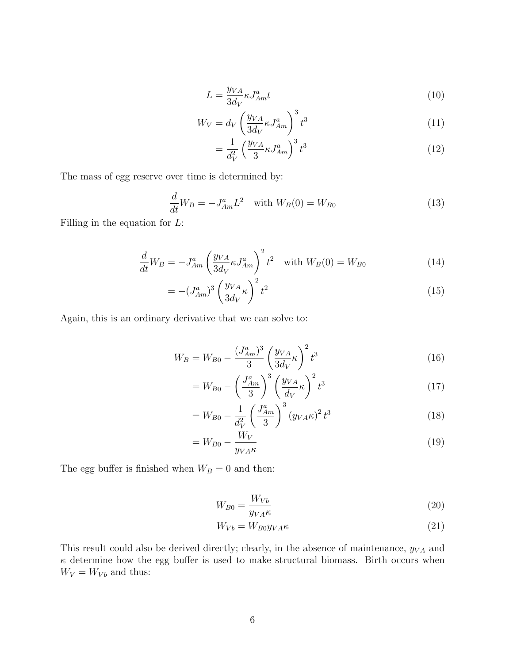$$
L = \frac{y_{VA}}{3d_V} \kappa J_{Am}^a t \tag{10}
$$

$$
W_V = d_V \left(\frac{y_{VA}}{3d_V} \kappa J_{Am}^a\right)^3 t^3 \tag{11}
$$

$$
=\frac{1}{d_V^2}\left(\frac{y_{VA}}{3}\kappa J_{Am}^a\right)^3 t^3\tag{12}
$$

The mass of egg reserve over time is determined by:

$$
\frac{d}{dt}W_B = -J_{Am}^a L^2 \quad \text{with } W_B(0) = W_{B0}
$$
\n(13)

Filling in the equation for  $L$ :

$$
\frac{d}{dt}W_B = -J_{Am}^a \left(\frac{y_{VA}}{3d_V} \kappa J_{Am}^a\right)^2 t^2 \quad \text{with } W_B(0) = W_{B0}
$$
\n
$$
\tag{14}
$$

$$
= -\left(J_{Am}^a\right)^3 \left(\frac{y_{VA}}{3d_V}\kappa\right)^2 t^2\tag{15}
$$

Again, this is an ordinary derivative that we can solve to:

$$
W_B = W_{B0} - \frac{(J_{Am}^a)^3}{3} \left(\frac{y_{VA}}{3d_V}\kappa\right)^2 t^3
$$
 (16)

$$
=W_{B0} - \left(\frac{J_{Am}^a}{3}\right)^3 \left(\frac{y_{VA}}{d_V}\kappa\right)^2 t^3\tag{17}
$$

$$
= W_{B0} - \frac{1}{d_V^2} \left(\frac{J_{Am}^a}{3}\right)^3 (y_{VA} \kappa)^2 t^3
$$
 (18)

$$
=W_{B0}-\frac{W_V}{y_{VA}\kappa} \tag{19}
$$

The egg buffer is finished when  $W_B=0$  and then:

$$
W_{B0} = \frac{W_{Vb}}{y_{VA}\kappa} \tag{20}
$$

$$
W_{Vb} = W_{B0} y_{VA} \kappa \tag{21}
$$

This result could also be derived directly; clearly, in the absence of maintenance,  $y_{VA}$  and  $\kappa$  determine how the egg buffer is used to make structural biomass. Birth occurs when  $\bar{W}_V = W_{Vb}$  and thus: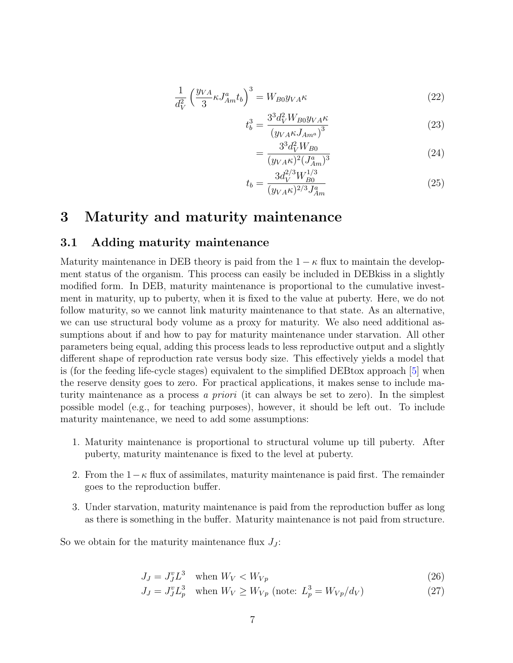$$
\frac{1}{d_V^2} \left(\frac{y_{VA}}{3} \kappa J_{Am}^a t_b\right)^3 = W_{B0} y_{VA} \kappa \tag{22}
$$

$$
t_b^3 = \frac{3^3 d_V^2 W_{B0} y_{VA} \kappa}{(y_{VA} \kappa J_{Am^a})^3}
$$
 (23)

$$
=\frac{3^3 d_V^2 W_{B0}}{(y_{VA} \kappa)^2 (J_{Am}^a)^3}
$$
(24)

$$
t_b = \frac{3d_V^{2/3}W_{B0}^{1/3}}{(y_{VA}\kappa)^{2/3}J_{Am}^a}
$$
 (25)

### <span id="page-6-0"></span>3 Maturity and maturity maintenance

#### <span id="page-6-1"></span>3.1 Adding maturity maintenance

Maturity maintenance in DEB theory is paid from the  $1 - \kappa$  flux to maintain the development status of the organism. This process can easily be included in DEBkiss in a slightly modified form. In DEB, maturity maintenance is proportional to the cumulative investment in maturity, up to puberty, when it is fixed to the value at puberty. Here, we do not follow maturity, so we cannot link maturity maintenance to that state. As an alternative, we can use structural body volume as a proxy for maturity. We also need additional assumptions about if and how to pay for maturity maintenance under starvation. All other parameters being equal, adding this process leads to less reproductive output and a slightly different shape of reproduction rate versus body size. This effectively yields a model that is (for the feeding life-cycle stages) equivalent to the simplified DEBtox approach [\[5\]](#page-17-1) when the reserve density goes to zero. For practical applications, it makes sense to include maturity maintenance as a process a priori (it can always be set to zero). In the simplest possible model (e.g., for teaching purposes), however, it should be left out. To include maturity maintenance, we need to add some assumptions:

- 1. Maturity maintenance is proportional to structural volume up till puberty. After puberty, maturity maintenance is fixed to the level at puberty.
- 2. From the  $1-\kappa$  flux of assimilates, maturity maintenance is paid first. The remainder goes to the reproduction buffer.
- 3. Under starvation, maturity maintenance is paid from the reproduction buffer as long as there is something in the buffer. Maturity maintenance is not paid from structure.

So we obtain for the maturity maintenance flux  $J_J$ :

$$
J_J = J_J^v L^3 \quad \text{when } W_V < W_{Vp} \tag{26}
$$

$$
J_J = J_J^v L_p^3 \quad \text{when } W_V \ge W_{Vp} \text{ (note: } L_p^3 = W_{Vp}/d_V) \tag{27}
$$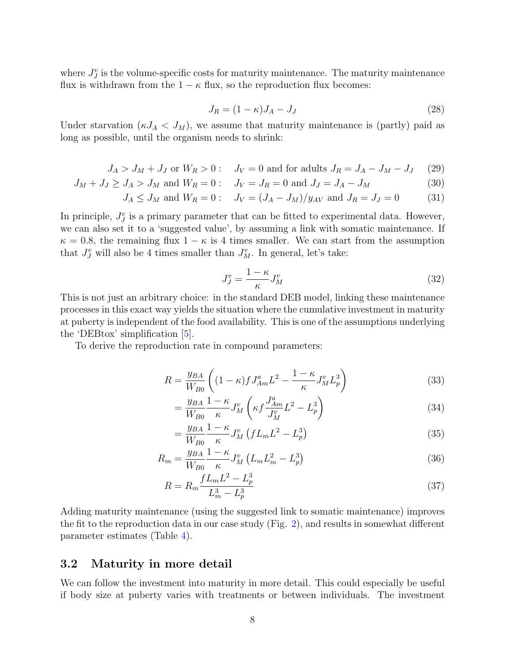where  $J_j^v$  is the volume-specific costs for maturity maintenance. The maturity maintenance flux is withdrawn from the  $1 - \kappa$  flux, so the reproduction flux becomes:

$$
J_R = (1 - \kappa)J_A - J_J \tag{28}
$$

Under starvation  $(\kappa J_A < J_M)$ , we assume that maturity maintenance is (partly) paid as long as possible, until the organism needs to shrink:

$$
J_A > J_M + J_J \text{ or } W_R > 0: \quad J_V = 0 \text{ and for adults } J_R = J_A - J_M - J_J \tag{29}
$$

$$
J_M + J_J \geq J_A > J_M
$$
 and  $W_R = 0$ :  $J_V = J_R = 0$  and  $J_J = J_A - J_M$  (30)

$$
J_A \leq J_M
$$
 and  $W_R = 0$ :  $J_V = (J_A - J_M)/y_{AV}$  and  $J_R = J_J = 0$  (31)

In principle,  $J_J^v$  is a primary parameter that can be fitted to experimental data. However, we can also set it to a 'suggested value', by assuming a link with somatic maintenance. If  $\kappa = 0.8$ , the remaining flux  $1 - \kappa$  is 4 times smaller. We can start from the assumption that  $J_J^v$  will also be 4 times smaller than  $J_M^v$ . In general, let's take:

$$
J_J^v = \frac{1 - \kappa}{\kappa} J_M^v \tag{32}
$$

This is not just an arbitrary choice: in the standard DEB model, linking these maintenance processes in this exact way yields the situation where the cumulative investment in maturity at puberty is independent of the food availability. This is one of the assumptions underlying the 'DEBtox' simplification  $|5|$ .

To derive the reproduction rate in compound parameters:

$$
R = \frac{y_{BA}}{W_{B0}} \left( (1 - \kappa) f J_{Am}^a L^2 - \frac{1 - \kappa}{\kappa} J_M^v L_p^3 \right) \tag{33}
$$

$$
=\frac{y_{BA}}{W_{B0}}\frac{1-\kappa}{\kappa}J_M^v\left(\kappa f\frac{J_{Am}^a}{J_M^v}L^2-L_p^3\right)
$$
(34)

$$
=\frac{y_{BA}}{W_{B0}}\frac{1-\kappa}{\kappa}J_M^v\left(fL_mL^2-L_p^3\right)
$$
\n(35)

$$
R_m = \frac{y_{BA}}{W_{B0}} \frac{1 - \kappa}{\kappa} J_M^v \left( L_m L_m^2 - L_p^3 \right) \tag{36}
$$

$$
R = R_m \frac{f L_m L^2 - L_p^3}{L_m^3 - L_p^3}
$$
\n(37)

Adding maturity maintenance (using the suggested link to somatic maintenance) improves the fit to the reproduction data in our case study (Fig. [2\)](#page-8-0), and results in somewhat different parameter estimates (Table [4\)](#page-9-0).

#### <span id="page-7-0"></span>3.2 Maturity in more detail

We can follow the investment into maturity in more detail. This could especially be useful if body size at puberty varies with treatments or between individuals. The investment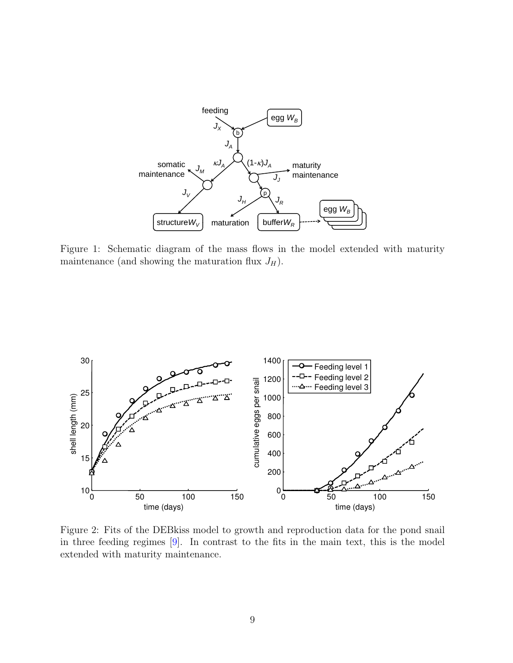

Figure 1: Schematic diagram of the mass flows in the model extended with maturity maintanance (and aboving the maturities flux  $I_{\alpha}$ ) maintenance (and showing the maturation flux  $J_H$ ).



<span id="page-8-0"></span>Figure 2: Fits of the DEBkiss model to growth and reproduction data for the pond snail in three feeding regimes [\[9\]](#page-17-2). In contrast to the fits in the main text, this is the model extended with maturity maintenance.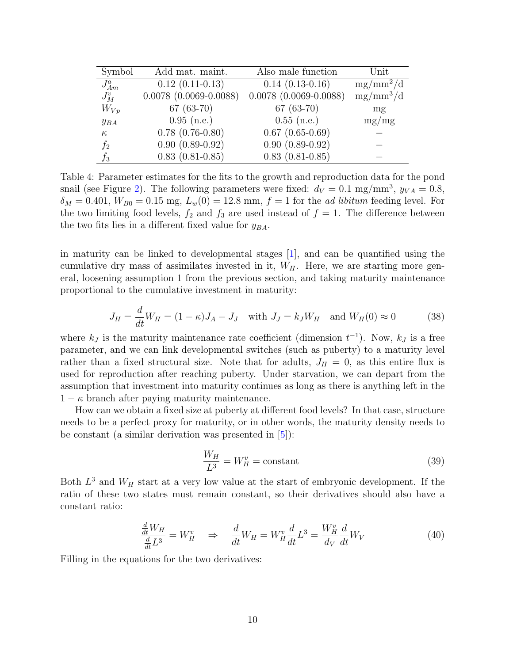| Symbol     | Add mat. maint.              | Also male function           | Unit                   |
|------------|------------------------------|------------------------------|------------------------|
| $J_{Am}^a$ | $0.12(0.11-0.13)$            | $0.14(0.13-0.16)$            | $mg/mm^2/\overline{d}$ |
| $J_M^v$    | $0.0078$ $(0.0069 - 0.0088)$ | $0.0078$ $(0.0069 - 0.0088)$ | $mg/mm^3/d$            |
| $W_{Vp}$   | $67(63-70)$                  | $67(63-70)$                  | mg                     |
| $y_{BA}$   | $0.95$ (n.e.)                | $0.55$ (n.e.)                | mg/mg                  |
| $\kappa$   | $0.78$ $(0.76-0.80)$         | $0.67$ $(0.65-0.69)$         |                        |
| $f_2$      | $0.90(0.89-0.92)$            | $0.90(0.89-0.92)$            |                        |
| $f_3$      | $0.83(0.81 - 0.85)$          | $0.83(0.81 - 0.85)$          |                        |

<span id="page-9-0"></span>Table 4: Parameter estimates for the fits to the growth and reproduction data for the pond snail (see Figure [2\)](#page-8-0). The following parameters were fixed:  $d_V = 0.1$  mg/mm<sup>3</sup>,  $y_{VA} = 0.8$ ,  $\delta_M = 0.401, W_{B0} = 0.15$  mg,  $L_w(0) = 12.8$  mm,  $f = 1$  for the *ad libitum* feeding level. For the two limiting food levels,  $f_2$  and  $f_3$  are used instead of  $f = 1$ . The difference between the two fits lies in a different fixed value for  $y_{BA}$ .

in maturity can be linked to developmental stages [\[1\]](#page-17-3), and can be quantified using the cumulative dry mass of assimilates invested in it,  $W_H$ . Here, we are starting more general, loosening assumption 1 from the previous section, and taking maturity maintenance proportional to the cumulative investment in maturity:

$$
J_H = \frac{d}{dt} W_H = (1 - \kappa) J_A - J_J \quad \text{with } J_J = k_J W_H \quad \text{and } W_H(0) \approx 0 \tag{38}
$$

where  $k_J$  is the maturity maintenance rate coefficient (dimension  $t^{-1}$ ). Now,  $k_J$  is a free parameter, and we can link developmental switches (such as puberty) to a maturity level rather than a fixed structural size. Note that for adults,  $J_H = 0$ , as this entire flux is used for reproduction after reaching puberty. Under starvation, we can depart from the assumption that investment into maturity continues as long as there is anything left in the  $1 - \kappa$  branch after paying maturity maintenance.

How can we obtain a fixed size at puberty at different food levels? In that case, structure needs to be a perfect proxy for maturity, or in other words, the maturity density needs to be constant (a similar derivation was presented in  $|5|$ ):

$$
\frac{W_H}{L^3} = W_H^v = \text{constant} \tag{39}
$$

Both  $L^3$  and  $W_H$  start at a very low value at the start of embryonic development. If the ratio of these two states must remain constant, so their derivatives should also have a constant ratio:

$$
\frac{\frac{d}{dt}W_H}{\frac{d}{dt}L^3} = W_H^v \quad \Rightarrow \quad \frac{d}{dt}W_H = W_H^v \frac{d}{dt}L^3 = \frac{W_H^v}{d_V}\frac{d}{dt}W_V \tag{40}
$$

Filling in the equations for the two derivatives: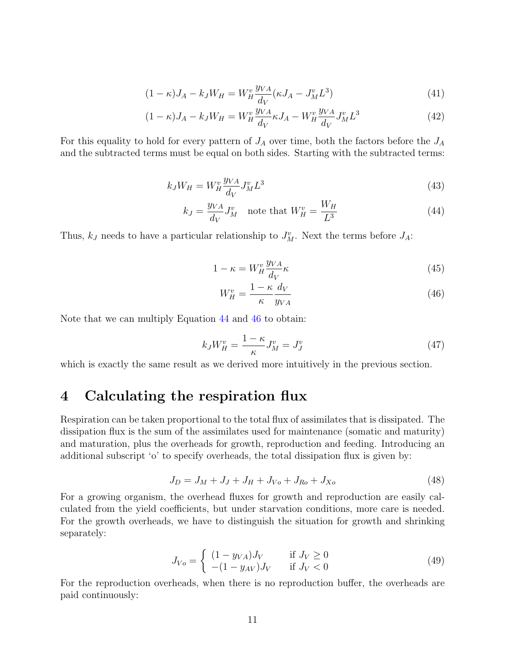$$
(1 - \kappa)J_A - k_J W_H = W_H^v \frac{y_{VA}}{d_V} (\kappa J_A - J_M^v L^3)
$$
\n(41)

$$
(1 - \kappa)J_A - k_J W_H = W_H^v \frac{y_{VA}}{d_V} \kappa J_A - W_H^v \frac{y_{VA}}{d_V} J_M^v L^3
$$
 (42)

For this equality to hold for every pattern of  $J_A$  over time, both the factors before the  $J_A$ and the subtracted terms must be equal on both sides. Starting with the subtracted terms:

$$
k_J W_H = W_H^v \frac{y_{VA}}{d_V} J_M^v L^3 \tag{43}
$$

$$
k_J = \frac{y_{VA}}{d_V} J_M^v \quad \text{note that } W_H^v = \frac{W_H}{L^3} \tag{44}
$$

Thus,  $k_J$  needs to have a particular relationship to  $J_M^v$ . Next the terms before  $J_A$ :

<span id="page-10-1"></span>
$$
1 - \kappa = W_H^v \frac{y_{VA}}{d_V} \kappa \tag{45}
$$

<span id="page-10-2"></span>
$$
W_H^v = \frac{1 - \kappa}{\kappa} \frac{d_V}{y_{VA}} \tag{46}
$$

Note that we can multiply Equation [44](#page-10-1) and [46](#page-10-2) to obtain:

$$
k_J W_H^v = \frac{1 - \kappa}{\kappa} J_M^v = J_J^v \tag{47}
$$

which is exactly the same result as we derived more intuitively in the previous section.

### <span id="page-10-0"></span>4 Calculating the respiration flux

Respiration can be taken proportional to the total flux of assimilates that is dissipated. The dissipation flux is the sum of the assimilates used for maintenance (somatic and maturity) and maturation, plus the overheads for growth, reproduction and feeding. Introducing an additional subscript 'o' to specify overheads, the total dissipation flux is given by:

$$
J_D = J_M + J_J + J_H + J_{Vo} + J_{Ro} + J_{Xo}
$$
\n(48)

For a growing organism, the overhead fluxes for growth and reproduction are easily calculated from the yield coefficients, but under starvation conditions, more care is needed. For the growth overheads, we have to distinguish the situation for growth and shrinking separately:

$$
J_{V_o} = \begin{cases} (1 - y_{VA})J_V & \text{if } J_V \ge 0\\ -(1 - y_{AV})J_V & \text{if } J_V < 0 \end{cases}
$$
 (49)

For the reproduction overheads, when there is no reproduction buffer, the overheads are paid continuously: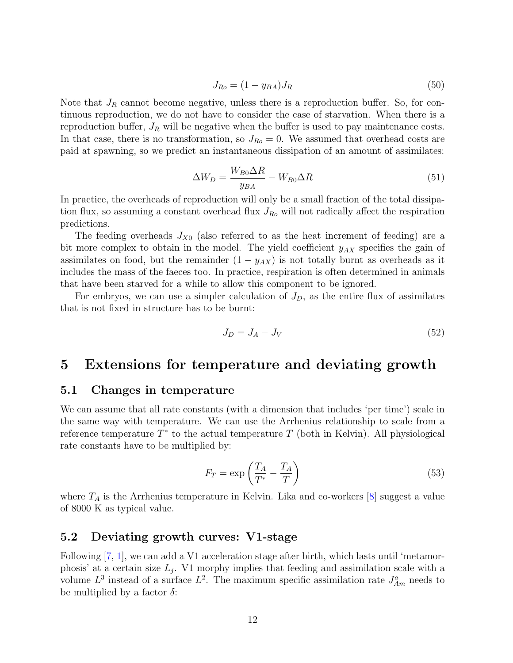$$
J_{Ro} = (1 - y_{BA})J_R \tag{50}
$$

Note that  $J_R$  cannot become negative, unless there is a reproduction buffer. So, for continuous reproduction, we do not have to consider the case of starvation. When there is a reproduction buffer,  $J_R$  will be negative when the buffer is used to pay maintenance costs. In that case, there is no transformation, so  $J_{Ro} = 0$ . We assumed that overhead costs are paid at spawning, so we predict an instantaneous dissipation of an amount of assimilates:

$$
\Delta W_D = \frac{W_{B0} \Delta R}{y_{BA}} - W_{B0} \Delta R \tag{51}
$$

In practice, the overheads of reproduction will only be a small fraction of the total dissipation flux, so assuming a constant overhead flux  $J_{R_o}$  will not radically affect the respiration predictions.

The feeding overheads  $J_{X0}$  (also referred to as the heat increment of feeding) are a bit more complex to obtain in the model. The yield coefficient  $y_{AX}$  specifies the gain of assimilates on food, but the remainder  $(1 - y_{AX})$  is not totally burnt as overheads as it includes the mass of the faeces too. In practice, respiration is often determined in animals that have been starved for a while to allow this component to be ignored.

For embryos, we can use a simpler calculation of  $J_D$ , as the entire flux of assimilates that is not fixed in structure has to be burnt:

$$
J_D = J_A - J_V \tag{52}
$$

### <span id="page-11-0"></span>5 Extensions for temperature and deviating growth

#### <span id="page-11-1"></span>5.1 Changes in temperature

We can assume that all rate constants (with a dimension that includes 'per time') scale in the same way with temperature. We can use the Arrhenius relationship to scale from a reference temperature  $T^*$  to the actual temperature  $T$  (both in Kelvin). All physiological rate constants have to be multiplied by:

$$
F_T = \exp\left(\frac{T_A}{T^*} - \frac{T_A}{T}\right) \tag{53}
$$

where  $T_A$  is the Arrhenius temperature in Kelvin. Lika and co-workers [\[8\]](#page-17-0) suggest a value of 8000 K as typical value.

#### <span id="page-11-2"></span>5.2 Deviating growth curves: V1-stage

Following [\[7,](#page-17-4) [1\]](#page-17-3), we can add a V1 acceleration stage after birth, which lasts until 'metamorphosis' at a certain size  $L_j$ . V1 morphy implies that feeding and assimilation scale with a volume  $L^3$  instead of a surface  $L^2$ . The maximum specific assimilation rate  $J^a_{Am}$  needs to be multiplied by a factor  $\delta$ :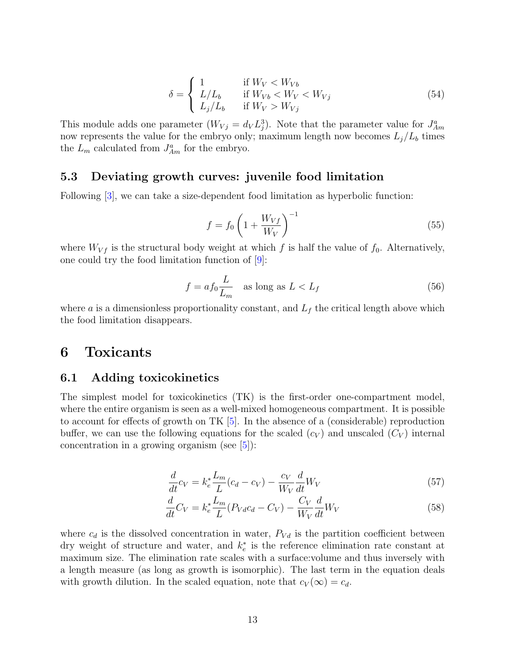$$
\delta = \begin{cases}\n1 & \text{if } W_V < W_{Vb} \\
L/L_b & \text{if } W_{Vb} < W_V \\
L_j/L_b & \text{if } W_V > W_{Vj}\n\end{cases} \tag{54}
$$

This module adds one parameter  $(W_{Vj} = d_V L_j^3)$ . Note that the parameter value for  $J_{Am}^a$ now represents the value for the embryo only; maximum length now becomes  $L_j/L_b$  times the  $L_m$  calculated from  $J_{Am}^a$  for the embryo.

#### <span id="page-12-0"></span>5.3 Deviating growth curves: juvenile food limitation

Following [\[3\]](#page-17-5), we can take a size-dependent food limitation as hyperbolic function:

$$
f = f_0 \left( 1 + \frac{W_{Vf}}{W_V} \right)^{-1} \tag{55}
$$

where  $W_{Vf}$  is the structural body weight at which f is half the value of  $f_0$ . Alternatively, one could try the food limitation function of  $|9|$ :

$$
f = af_0 \frac{L}{L_m} \quad \text{as long as } L < L_f \tag{56}
$$

where a is a dimensionless proportionality constant, and  $L_f$  the critical length above which the food limitation disappears.

### <span id="page-12-1"></span>6 Toxicants

### <span id="page-12-2"></span>6.1 Adding toxicokinetics

The simplest model for toxicokinetics (TK) is the first-order one-compartment model, where the entire organism is seen as a well-mixed homogeneous compartment. It is possible to account for effects of growth on TK [\[5\]](#page-17-1). In the absence of a (considerable) reproduction buffer, we can use the following equations for the scaled  $(c_V)$  and unscaled  $(C_V)$  internal concentration in a growing organism (see  $[5]$ ):

$$
\frac{d}{dt}c_V = k_e^* \frac{L_m}{L}(c_d - c_V) - \frac{c_V}{W_V} \frac{d}{dt}W_V
$$
\n
$$
(57)
$$

$$
\frac{d}{dt}C_V = k_e^* \frac{L_m}{L} (P_{Vd}c_d - C_V) - \frac{C_V}{W_V} \frac{d}{dt} W_V
$$
\n
$$
\tag{58}
$$

where  $c_d$  is the dissolved concentration in water,  $P_{V_d}$  is the partition coefficient between dry weight of structure and water, and  $k_e^*$  is the reference elimination rate constant at maximum size. The elimination rate scales with a surface:volume and thus inversely with a length measure (as long as growth is isomorphic). The last term in the equation deals with growth dilution. In the scaled equation, note that  $c_V(\infty) = c_d$ .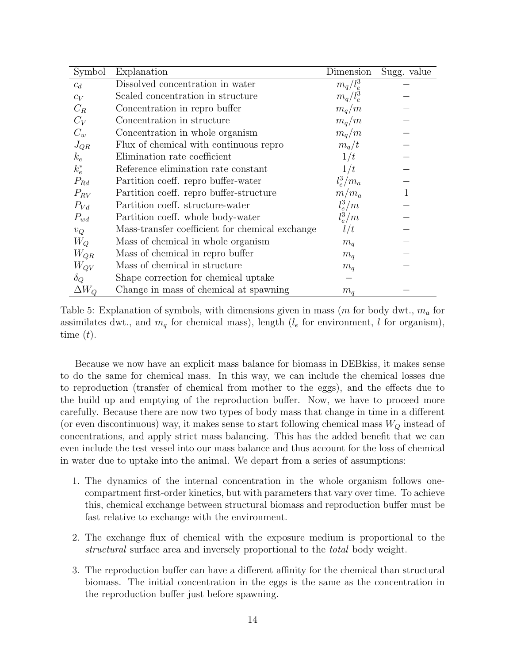| Symbol       | Explanation                                     | Dimension   | Sugg. value |
|--------------|-------------------------------------------------|-------------|-------------|
| $c_d$        | Dissolved concentration in water                | $m_q/l_e^3$ |             |
| $c_V$        | Scaled concentration in structure               | $m_q/l_e^3$ |             |
| $C_R$        | Concentration in repro buffer                   | $m_q/m$     |             |
| $C_V$        | Concentration in structure                      | $m_q/m$     |             |
| $C_w$        | Concentration in whole organism                 | $m_q/m$     |             |
| $J_{QR}$     | Flux of chemical with continuous repro          | $m_q/t$     |             |
| $k_e$        | Elimination rate coefficient                    | 1/t         |             |
| $k_e^*$      | Reference elimination rate constant             | 1/t         |             |
| $P_{Rd}$     | Partition coeff. repro buffer-water             | $l_e^3/m_a$ |             |
| $P_{RV}$     | Partition coeff. repro buffer-structure         | $m/m_a$     | 1           |
| $P_{Vd}$     | Partition coeff. structure-water                | $l_e^3/m$   |             |
| $P_{wd}$     | Partition coeff. whole body-water               | $l_e^3/m$   |             |
| $v_Q$        | Mass-transfer coefficient for chemical exchange | l/t         |             |
| $W_O$        | Mass of chemical in whole organism              | $m_q$       |             |
| $W_{QR}$     | Mass of chemical in repro buffer                | $m_q$       |             |
| $W_{QV}$     | Mass of chemical in structure                   | $m_q$       |             |
| $\delta_Q$   | Shape correction for chemical uptake            |             |             |
| $\Delta W_O$ | Change in mass of chemical at spawning          | $m_q$       |             |

Table 5: Explanation of symbols, with dimensions given in mass (m for body dwt.,  $m_a$  for assimilates dwt., and  $m_q$  for chemical mass), length ( $l_e$  for environment, l for organism), time  $(t)$ .

Because we now have an explicit mass balance for biomass in DEBkiss, it makes sense to do the same for chemical mass. In this way, we can include the chemical losses due to reproduction (transfer of chemical from mother to the eggs), and the effects due to the build up and emptying of the reproduction buffer. Now, we have to proceed more carefully. Because there are now two types of body mass that change in time in a different (or even discontinuous) way, it makes sense to start following chemical mass  $W_Q$  instead of concentrations, and apply strict mass balancing. This has the added benefit that we can even include the test vessel into our mass balance and thus account for the loss of chemical in water due to uptake into the animal. We depart from a series of assumptions:

- 1. The dynamics of the internal concentration in the whole organism follows onecompartment first-order kinetics, but with parameters that vary over time. To achieve this, chemical exchange between structural biomass and reproduction buffer must be fast relative to exchange with the environment.
- 2. The exchange flux of chemical with the exposure medium is proportional to the structural surface area and inversely proportional to the total body weight.
- 3. The reproduction buffer can have a different affinity for the chemical than structural biomass. The initial concentration in the eggs is the same as the concentration in the reproduction buffer just before spawning.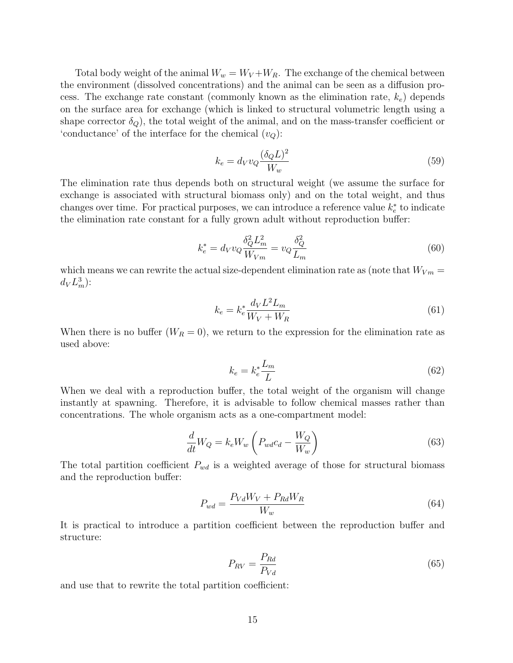Total body weight of the animal  $W_w = W_V + W_R$ . The exchange of the chemical between the environment (dissolved concentrations) and the animal can be seen as a diffusion process. The exchange rate constant (commonly known as the elimination rate,  $k_e$ ) depends on the surface area for exchange (which is linked to structural volumetric length using a shape corrector  $\delta_Q$ , the total weight of the animal, and on the mass-transfer coefficient or 'conductance' of the interface for the chemical  $(v_Q)$ :

$$
k_e = d_V v_Q \frac{(\delta_Q L)^2}{W_w} \tag{59}
$$

The elimination rate thus depends both on structural weight (we assume the surface for exchange is associated with structural biomass only) and on the total weight, and thus changes over time. For practical purposes, we can introduce a reference value  $k_e^*$  to indicate the elimination rate constant for a fully grown adult without reproduction buffer:

$$
k_e^* = d_V v_Q \frac{\delta_Q^2 L_m^2}{W_{Vm}} = v_Q \frac{\delta_Q^2}{L_m} \tag{60}
$$

which means we can rewrite the actual size-dependent elimination rate as (note that  $W_{Vm} =$  $d_V L_m^3$ :

$$
k_e = k_e^* \frac{d_V L^2 L_m}{W_V + W_R} \tag{61}
$$

When there is no buffer  $(W_R = 0)$ , we return to the expression for the elimination rate as used above:

$$
k_e = k_e^* \frac{L_m}{L} \tag{62}
$$

When we deal with a reproduction buffer, the total weight of the organism will change instantly at spawning. Therefore, it is advisable to follow chemical masses rather than concentrations. The whole organism acts as a one-compartment model:

$$
\frac{d}{dt}W_Q = k_e W_w \left( P_{wd} c_d - \frac{W_Q}{W_w} \right) \tag{63}
$$

The total partition coefficient  $P_{wd}$  is a weighted average of those for structural biomass and the reproduction buffer:

$$
P_{wd} = \frac{P_{Vd}W_V + P_{Rd}W_R}{W_w} \tag{64}
$$

It is practical to introduce a partition coefficient between the reproduction buffer and structure:

$$
P_{RV} = \frac{P_{Rd}}{P_{Vd}}\tag{65}
$$

and use that to rewrite the total partition coefficient: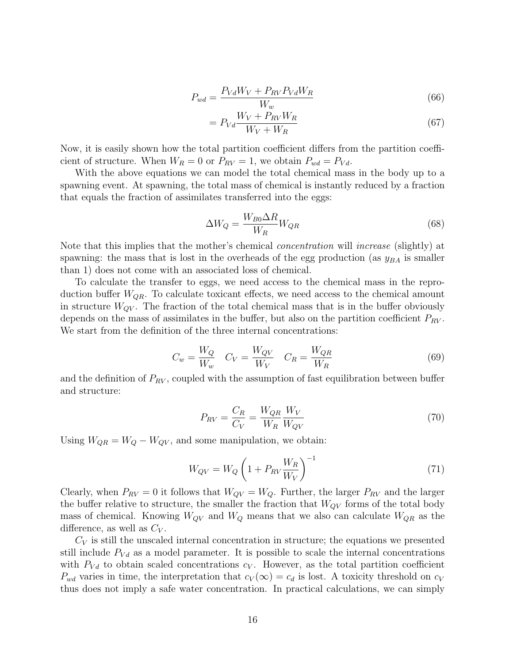$$
P_{wd} = \frac{P_{Vd}W_V + P_{RV}P_{Vd}W_R}{W_w} \tag{66}
$$

$$
=P_{Vd}\frac{W_V + P_{RV}W_R}{W_V + W_R} \tag{67}
$$

Now, it is easily shown how the total partition coefficient differs from the partition coefficient of structure. When  $W_R = 0$  or  $P_{RV} = 1$ , we obtain  $P_{wd} = P_{Vd}$ .

With the above equations we can model the total chemical mass in the body up to a spawning event. At spawning, the total mass of chemical is instantly reduced by a fraction that equals the fraction of assimilates transferred into the eggs:

$$
\Delta W_Q = \frac{W_{B0} \Delta R}{W_R} W_{QR} \tag{68}
$$

Note that this implies that the mother's chemical concentration will increase (slightly) at spawning: the mass that is lost in the overheads of the egg production (as  $y_{BA}$  is smaller than 1) does not come with an associated loss of chemical.

To calculate the transfer to eggs, we need access to the chemical mass in the reproduction buffer  $W_{OR}$ . To calculate toxicant effects, we need access to the chemical amount in structure  $W_{QV}$ . The fraction of the total chemical mass that is in the buffer obviously depends on the mass of assimilates in the buffer, but also on the partition coefficient  $P_{RV}$ . We start from the definition of the three internal concentrations:

$$
C_w = \frac{W_Q}{W_w} \quad C_V = \frac{W_{QV}}{W_V} \quad C_R = \frac{W_{QR}}{W_R} \tag{69}
$$

and the definition of  $P_{RV}$ , coupled with the assumption of fast equilibration between buffer and structure:

$$
P_{RV} = \frac{C_R}{C_V} = \frac{W_{QR}}{W_R} \frac{W_V}{W_{QV}}\tag{70}
$$

Using  $W_{QR} = W_Q - W_{QV}$ , and some manipulation, we obtain:

$$
W_{QV} = W_Q \left( 1 + P_{RV} \frac{W_R}{W_V} \right)^{-1} \tag{71}
$$

Clearly, when  $P_{RV} = 0$  it follows that  $W_{QV} = W_Q$ . Further, the larger  $P_{RV}$  and the larger the buffer relative to structure, the smaller the fraction that  $W_{QV}$  forms of the total body mass of chemical. Knowing  $W_{QV}$  and  $W_Q$  means that we also can calculate  $W_{QR}$  as the difference, as well as  $C_V$ .

 $C_V$  is still the unscaled internal concentration in structure; the equations we presented still include  $P_{V_d}$  as a model parameter. It is possible to scale the internal concentrations with  $P_{Vd}$  to obtain scaled concentrations  $c_V$ . However, as the total partition coefficient  $P_{wd}$  varies in time, the interpretation that  $c_V(\infty) = c_d$  is lost. A toxicity threshold on  $c_V$ thus does not imply a safe water concentration. In practical calculations, we can simply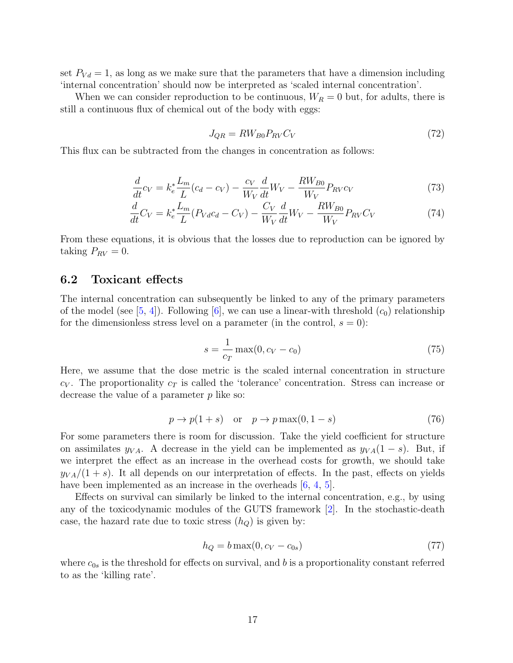set  $P_{V_d} = 1$ , as long as we make sure that the parameters that have a dimension including 'internal concentration' should now be interpreted as 'scaled internal concentration'.

When we can consider reproduction to be continuous,  $W_R = 0$  but, for adults, there is still a continuous flux of chemical out of the body with eggs:

$$
J_{QR} = RW_{B0}P_{RV}C_V \tag{72}
$$

This flux can be subtracted from the changes in concentration as follows:

$$
\frac{d}{dt}c_V = k_e^* \frac{L_m}{L}(c_d - c_V) - \frac{c_V}{W_V} \frac{d}{dt}W_V - \frac{RW_{B0}}{W_V} P_{RV} c_V
$$
\n(73)

$$
\frac{d}{dt}C_V = k_e^* \frac{L_m}{L} (P_{Vd}c_d - C_V) - \frac{C_V}{W_V} \frac{d}{dt} W_V - \frac{RW_{B0}}{W_V} P_{RV} C_V \tag{74}
$$

From these equations, it is obvious that the losses due to reproduction can be ignored by taking  $P_{RV} = 0$ .

#### <span id="page-16-0"></span>6.2 Toxicant effects

The internal concentration can subsequently be linked to any of the primary parameters of the model (see [\[5,](#page-17-1) [4\]](#page-17-6)). Following [\[6\]](#page-17-7), we can use a linear-with threshold  $(c_0)$  relationship for the dimensionless stress level on a parameter (in the control,  $s = 0$ ):

$$
s = \frac{1}{c_T} \max(0, c_V - c_0)
$$
 (75)

Here, we assume that the dose metric is the scaled internal concentration in structure  $c_V$ . The proportionality  $c_T$  is called the 'tolerance' concentration. Stress can increase or decrease the value of a parameter  $p$  like so:

$$
p \to p(1+s) \quad \text{or} \quad p \to p \max(0, 1-s) \tag{76}
$$

For some parameters there is room for discussion. Take the yield coefficient for structure on assimilates  $y_{VA}$ . A decrease in the yield can be implemented as  $y_{VA}(1-s)$ . But, if we interpret the effect as an increase in the overhead costs for growth, we should take  $y_{VA}/(1+s)$ . It all depends on our interpretation of effects. In the past, effects on yields have been implemented as an increase in the overheads  $[6, 4, 5]$  $[6, 4, 5]$  $[6, 4, 5]$  $[6, 4, 5]$  $[6, 4, 5]$ .

Effects on survival can similarly be linked to the internal concentration, e.g., by using any of the toxicodynamic modules of the GUTS framework [\[2\]](#page-17-8). In the stochastic-death case, the hazard rate due to toxic stress  $(h_Q)$  is given by:

$$
h_Q = b \max(0, c_V - c_{0s}) \tag{77}
$$

where  $c_{0s}$  is the threshold for effects on survival, and b is a proportionality constant referred to as the 'killing rate'.